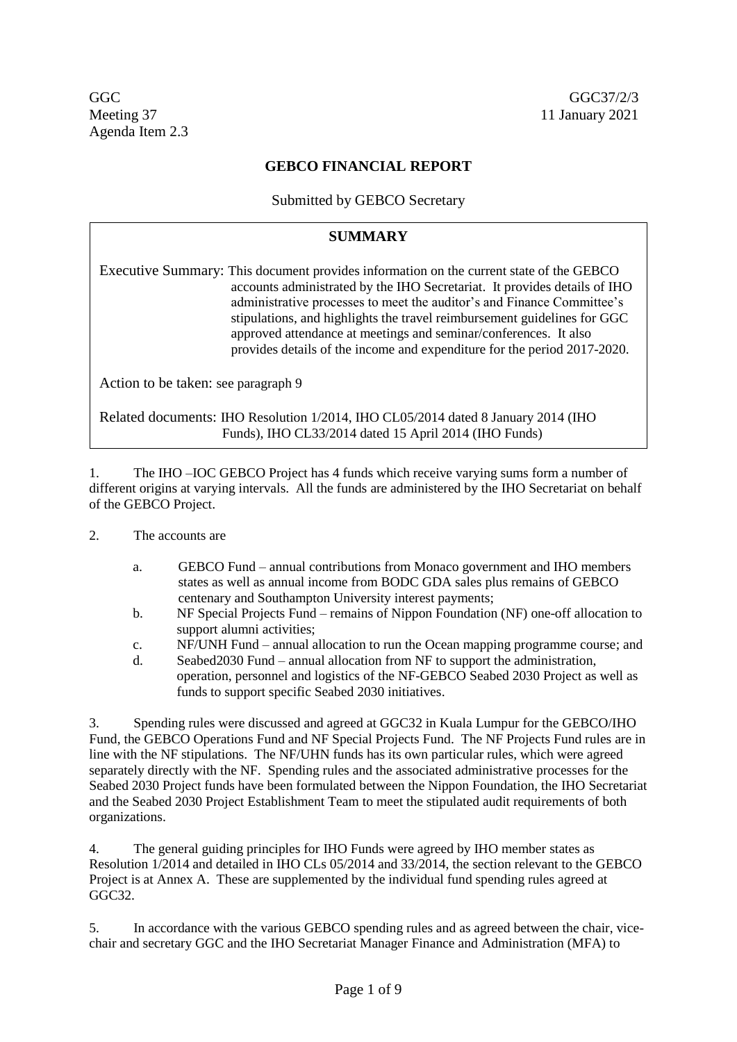GGC GGC37/2/3 Meeting 37 11 January 2021 Agenda Item 2.3

## **GEBCO FINANCIAL REPORT**

Submitted by GEBCO Secretary

## **SUMMARY**

Executive Summary: This document provides information on the current state of the GEBCO accounts administrated by the IHO Secretariat. It provides details of IHO administrative processes to meet the auditor's and Finance Committee's stipulations, and highlights the travel reimbursement guidelines for GGC approved attendance at meetings and seminar/conferences. It also provides details of the income and expenditure for the period 2017-2020.

Action to be taken: see paragraph 9

Related documents: IHO Resolution 1/2014, IHO CL05/2014 dated 8 January 2014 (IHO Funds), IHO CL33/2014 dated 15 April 2014 (IHO Funds)

1. The IHO –IOC GEBCO Project has 4 funds which receive varying sums form a number of different origins at varying intervals. All the funds are administered by the IHO Secretariat on behalf of the GEBCO Project.

- 2. The accounts are
	- a. GEBCO Fund annual contributions from Monaco government and IHO members states as well as annual income from BODC GDA sales plus remains of GEBCO centenary and Southampton University interest payments;
	- b. NF Special Projects Fund remains of Nippon Foundation (NF) one-off allocation to support alumni activities;
	- c. NF/UNH Fund annual allocation to run the Ocean mapping programme course; and
	- d. Seabed2030 Fund annual allocation from NF to support the administration, operation, personnel and logistics of the NF-GEBCO Seabed 2030 Project as well as funds to support specific Seabed 2030 initiatives.

3. Spending rules were discussed and agreed at GGC32 in Kuala Lumpur for the GEBCO/IHO Fund, the GEBCO Operations Fund and NF Special Projects Fund. The NF Projects Fund rules are in line with the NF stipulations. The NF/UHN funds has its own particular rules, which were agreed separately directly with the NF. Spending rules and the associated administrative processes for the Seabed 2030 Project funds have been formulated between the Nippon Foundation, the IHO Secretariat and the Seabed 2030 Project Establishment Team to meet the stipulated audit requirements of both organizations.

4. The general guiding principles for IHO Funds were agreed by IHO member states as Resolution 1/2014 and detailed in IHO CLs 05/2014 and 33/2014, the section relevant to the GEBCO Project is at Annex A. These are supplemented by the individual fund spending rules agreed at GGC<sub>32</sub>.

5. In accordance with the various GEBCO spending rules and as agreed between the chair, vicechair and secretary GGC and the IHO Secretariat Manager Finance and Administration (MFA) to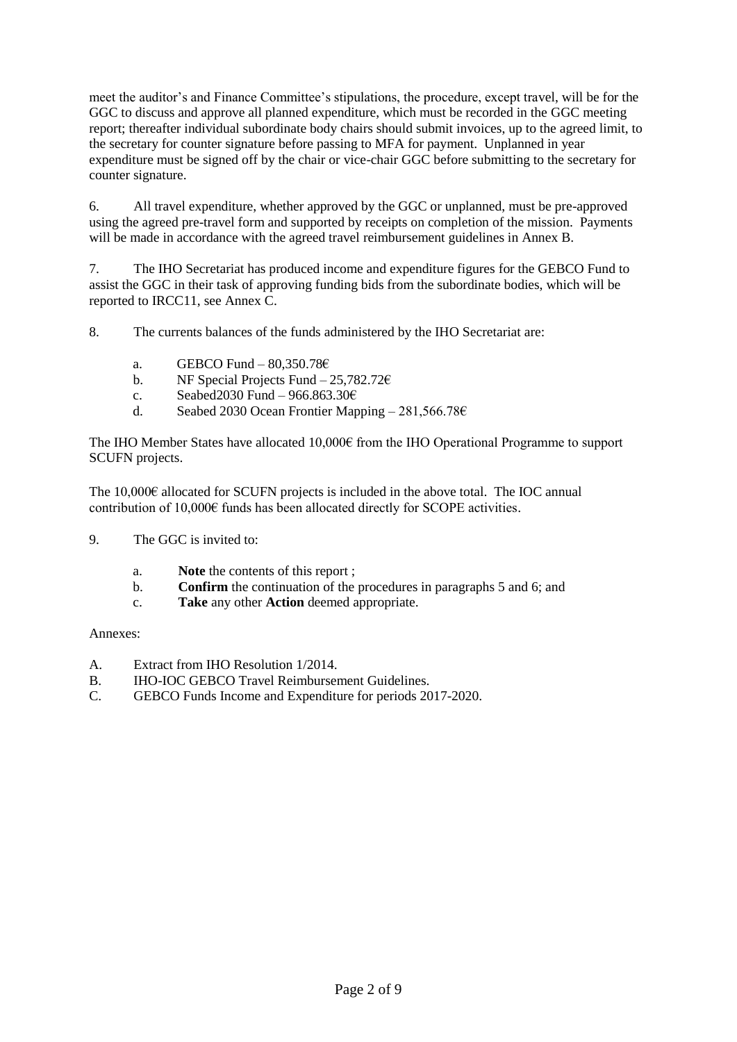meet the auditor's and Finance Committee's stipulations, the procedure, except travel, will be for the GGC to discuss and approve all planned expenditure, which must be recorded in the GGC meeting report; thereafter individual subordinate body chairs should submit invoices, up to the agreed limit, to the secretary for counter signature before passing to MFA for payment. Unplanned in year expenditure must be signed off by the chair or vice-chair GGC before submitting to the secretary for counter signature.

6. All travel expenditure, whether approved by the GGC or unplanned, must be pre-approved using the agreed pre-travel form and supported by receipts on completion of the mission. Payments will be made in accordance with the agreed travel reimbursement guidelines in Annex B.

7. The IHO Secretariat has produced income and expenditure figures for the GEBCO Fund to assist the GGC in their task of approving funding bids from the subordinate bodies, which will be reported to IRCC11, see Annex C.

8. The currents balances of the funds administered by the IHO Secretariat are:

- a. GEBCO Fund  $80,350.78 \in$
- b. NF Special Projects Fund 25,782.72 $\epsilon$
- c. Seabed 2030 Fund 966.863.30 $\epsilon$
- d. Seabed 2030 Ocean Frontier Mapping 281,566.78 $\epsilon$

The IHO Member States have allocated 10,000€ from the IHO Operational Programme to support SCUFN projects.

The 10,000€ allocated for SCUFN projects is included in the above total. The IOC annual contribution of 10,000€ funds has been allocated directly for SCOPE activities.

- 9. The GGC is invited to:
	- a. **Note** the contents of this report ;
	- b. **Confirm** the continuation of the procedures in paragraphs 5 and 6; and
	- c. **Take** any other **Action** deemed appropriate.

Annexes:

- A. Extract from IHO Resolution 1/2014.
- B. IHO-IOC GEBCO Travel Reimbursement Guidelines.
- C. GEBCO Funds Income and Expenditure for periods 2017-2020.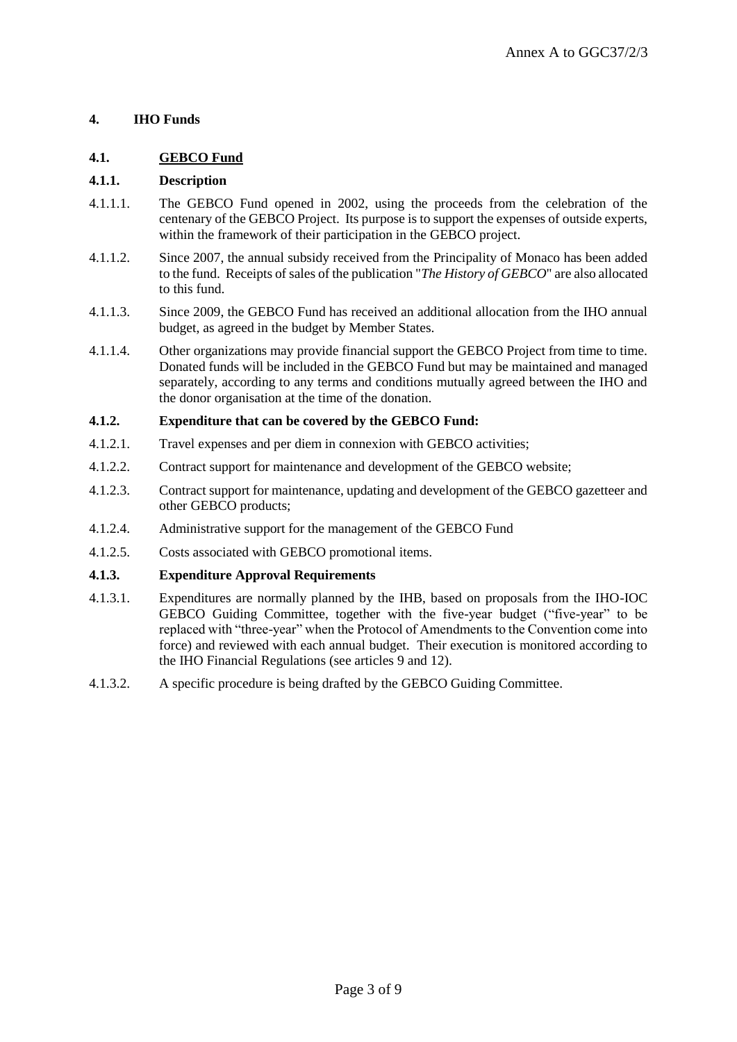## **4. IHO Funds**

## **4.1. GEBCO Fund**

### **4.1.1. Description**

- 4.1.1.1. The GEBCO Fund opened in 2002, using the proceeds from the celebration of the centenary of the GEBCO Project. Its purpose is to support the expenses of outside experts, within the framework of their participation in the GEBCO project.
- 4.1.1.2. Since 2007, the annual subsidy received from the Principality of Monaco has been added to the fund. Receipts of sales of the publication "*The History of GEBCO*" are also allocated to this fund.
- 4.1.1.3. Since 2009, the GEBCO Fund has received an additional allocation from the IHO annual budget, as agreed in the budget by Member States.
- 4.1.1.4. Other organizations may provide financial support the GEBCO Project from time to time. Donated funds will be included in the GEBCO Fund but may be maintained and managed separately, according to any terms and conditions mutually agreed between the IHO and the donor organisation at the time of the donation.

#### **4.1.2. Expenditure that can be covered by the GEBCO Fund:**

- 4.1.2.1. Travel expenses and per diem in connexion with GEBCO activities;
- 4.1.2.2. Contract support for maintenance and development of the GEBCO website;
- 4.1.2.3. Contract support for maintenance, updating and development of the GEBCO gazetteer and other GEBCO products;
- 4.1.2.4. Administrative support for the management of the GEBCO Fund
- 4.1.2.5. Costs associated with GEBCO promotional items.

#### **4.1.3. Expenditure Approval Requirements**

- 4.1.3.1. Expenditures are normally planned by the IHB, based on proposals from the IHO-IOC GEBCO Guiding Committee, together with the five-year budget ("five-year" to be replaced with "three-year" when the Protocol of Amendments to the Convention come into force) and reviewed with each annual budget. Their execution is monitored according to the IHO Financial Regulations (see articles 9 and 12).
- 4.1.3.2. A specific procedure is being drafted by the GEBCO Guiding Committee.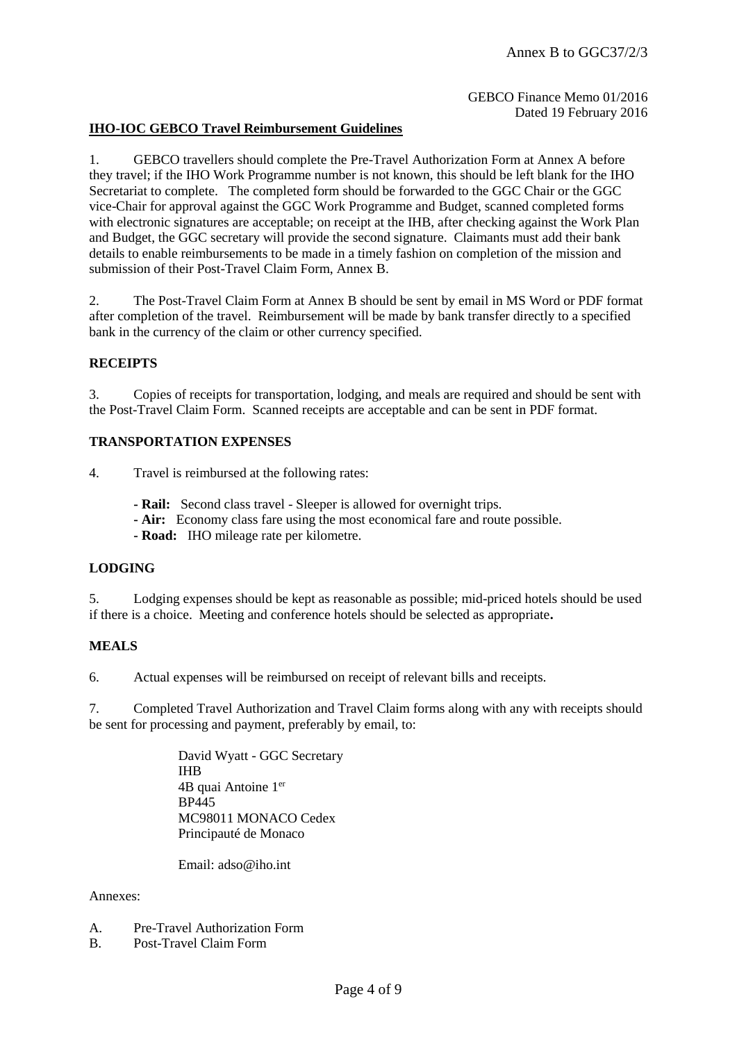GEBCO Finance Memo 01/2016 Dated 19 February 2016

#### **IHO-IOC GEBCO Travel Reimbursement Guidelines**

1. GEBCO travellers should complete the Pre-Travel Authorization Form at Annex A before they travel; if the IHO Work Programme number is not known, this should be left blank for the IHO Secretariat to complete. The completed form should be forwarded to the GGC Chair or the GGC vice-Chair for approval against the GGC Work Programme and Budget, scanned completed forms with electronic signatures are acceptable; on receipt at the IHB, after checking against the Work Plan and Budget, the GGC secretary will provide the second signature. Claimants must add their bank details to enable reimbursements to be made in a timely fashion on completion of the mission and submission of their Post-Travel Claim Form, Annex B.

2. The Post-Travel Claim Form at Annex B should be sent by email in MS Word or PDF format after completion of the travel. Reimbursement will be made by bank transfer directly to a specified bank in the currency of the claim or other currency specified.

#### **RECEIPTS**

3. Copies of receipts for transportation, lodging, and meals are required and should be sent with the Post-Travel Claim Form. Scanned receipts are acceptable and can be sent in PDF format.

#### **TRANSPORTATION EXPENSES**

4. Travel is reimbursed at the following rates:

- **- Rail:** Second class travel Sleeper is allowed for overnight trips.
- **- Air:** Economy class fare using the most economical fare and route possible.
- **- Road:** IHO mileage rate per kilometre.

#### **LODGING**

5. Lodging expenses should be kept as reasonable as possible; mid-priced hotels should be used if there is a choice. Meeting and conference hotels should be selected as appropriate**.** 

#### **MEALS**

6. Actual expenses will be reimbursed on receipt of relevant bills and receipts.

7. Completed Travel Authorization and Travel Claim forms along with any with receipts should be sent for processing and payment, preferably by email, to:

> David Wyatt - GGC Secretary IHB 4B quai Antoine 1er BP445 MC98011 MONACO Cedex Principauté de Monaco

Email:  $adso@iho$  int

#### Annexes:

- A. Pre-Travel Authorization Form
- B. Post-Travel Claim Form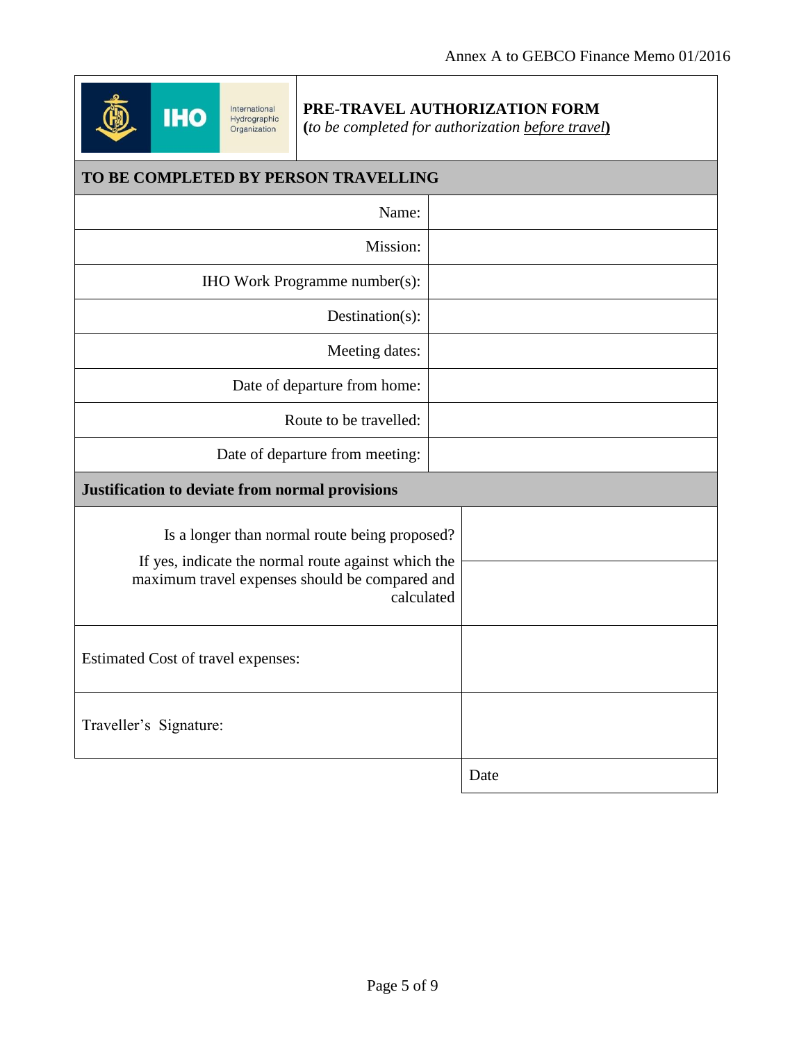

# **PRE-TRAVEL AUTHORIZATION FORM**

**(***to be completed for authorization before travel***)**

| TO BE COMPLETED BY PERSON TRAVELLING                                                                                                                                 |      |  |  |  |
|----------------------------------------------------------------------------------------------------------------------------------------------------------------------|------|--|--|--|
| Name:                                                                                                                                                                |      |  |  |  |
| Mission:                                                                                                                                                             |      |  |  |  |
| IHO Work Programme number(s):                                                                                                                                        |      |  |  |  |
| Destination(s):                                                                                                                                                      |      |  |  |  |
| Meeting dates:                                                                                                                                                       |      |  |  |  |
| Date of departure from home:                                                                                                                                         |      |  |  |  |
| Route to be travelled:                                                                                                                                               |      |  |  |  |
| Date of departure from meeting:                                                                                                                                      |      |  |  |  |
| Justification to deviate from normal provisions                                                                                                                      |      |  |  |  |
| Is a longer than normal route being proposed?<br>If yes, indicate the normal route against which the<br>maximum travel expenses should be compared and<br>calculated |      |  |  |  |
| Estimated Cost of travel expenses:                                                                                                                                   |      |  |  |  |
| Traveller's Signature:                                                                                                                                               |      |  |  |  |
|                                                                                                                                                                      | Date |  |  |  |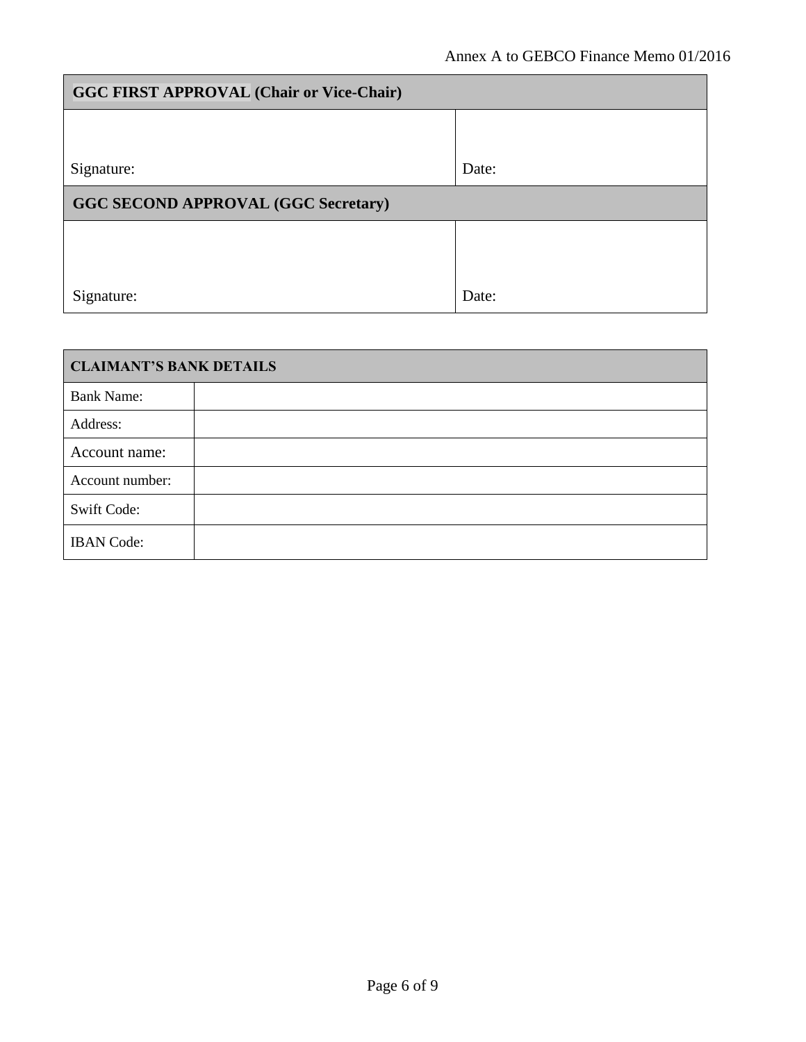| <b>GGC FIRST APPROVAL (Chair or Vice-Chair)</b> |       |  |  |
|-------------------------------------------------|-------|--|--|
|                                                 |       |  |  |
| Signature:                                      | Date: |  |  |
| <b>GGC SECOND APPROVAL (GGC Secretary)</b>      |       |  |  |
|                                                 |       |  |  |
|                                                 |       |  |  |
| Signature:                                      | Date: |  |  |

| <b>CLAIMANT'S BANK DETAILS</b> |  |  |  |
|--------------------------------|--|--|--|
| <b>Bank Name:</b>              |  |  |  |
| Address:                       |  |  |  |
| Account name:                  |  |  |  |
| Account number:                |  |  |  |
| <b>Swift Code:</b>             |  |  |  |
| <b>IBAN</b> Code:              |  |  |  |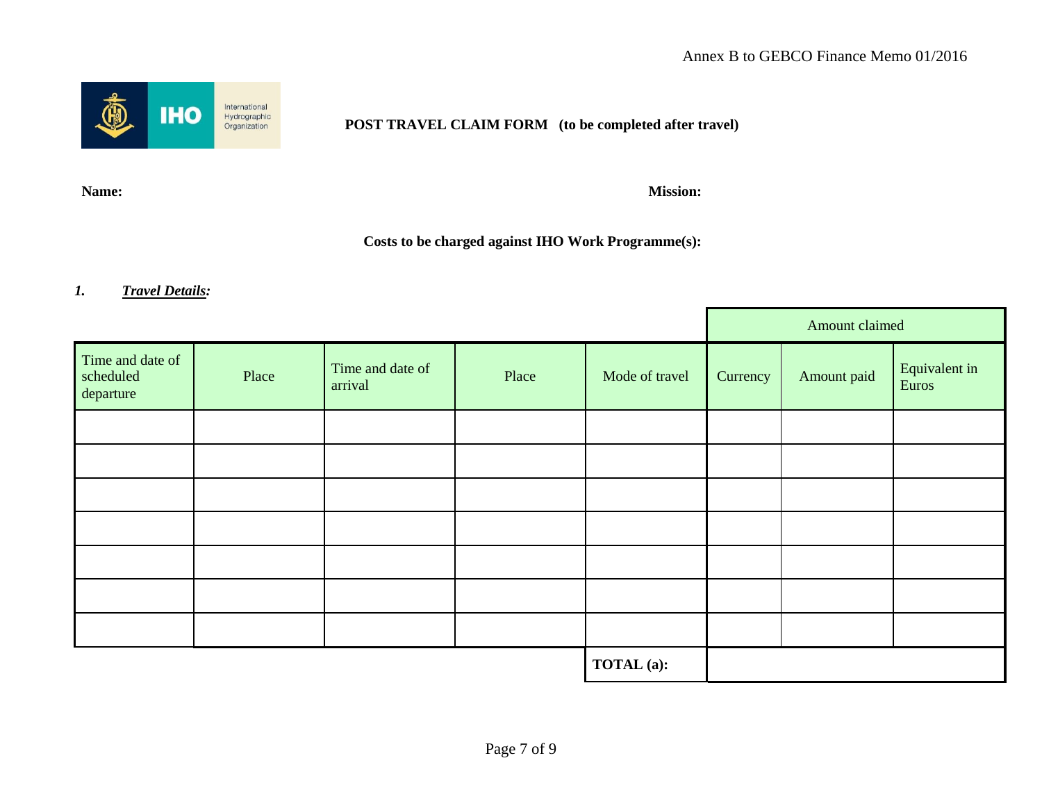

### **POST TRAVEL CLAIM FORM (to be completed after travel)**

**Name: Mission:**

## **Costs to be charged against IHO Work Programme(s):**

## *1. Travel Details:*

|                                            |       |                             |       |                | Amount claimed |             |                        |
|--------------------------------------------|-------|-----------------------------|-------|----------------|----------------|-------------|------------------------|
| Time and date of<br>scheduled<br>departure | Place | Time and date of<br>arrival | Place | Mode of travel | Currency       | Amount paid | Equivalent in<br>Euros |
|                                            |       |                             |       |                |                |             |                        |
|                                            |       |                             |       |                |                |             |                        |
|                                            |       |                             |       |                |                |             |                        |
|                                            |       |                             |       |                |                |             |                        |
|                                            |       |                             |       |                |                |             |                        |
|                                            |       |                             |       |                |                |             |                        |
|                                            |       |                             |       |                |                |             |                        |
|                                            |       | TOTAL (a):                  |       |                |                |             |                        |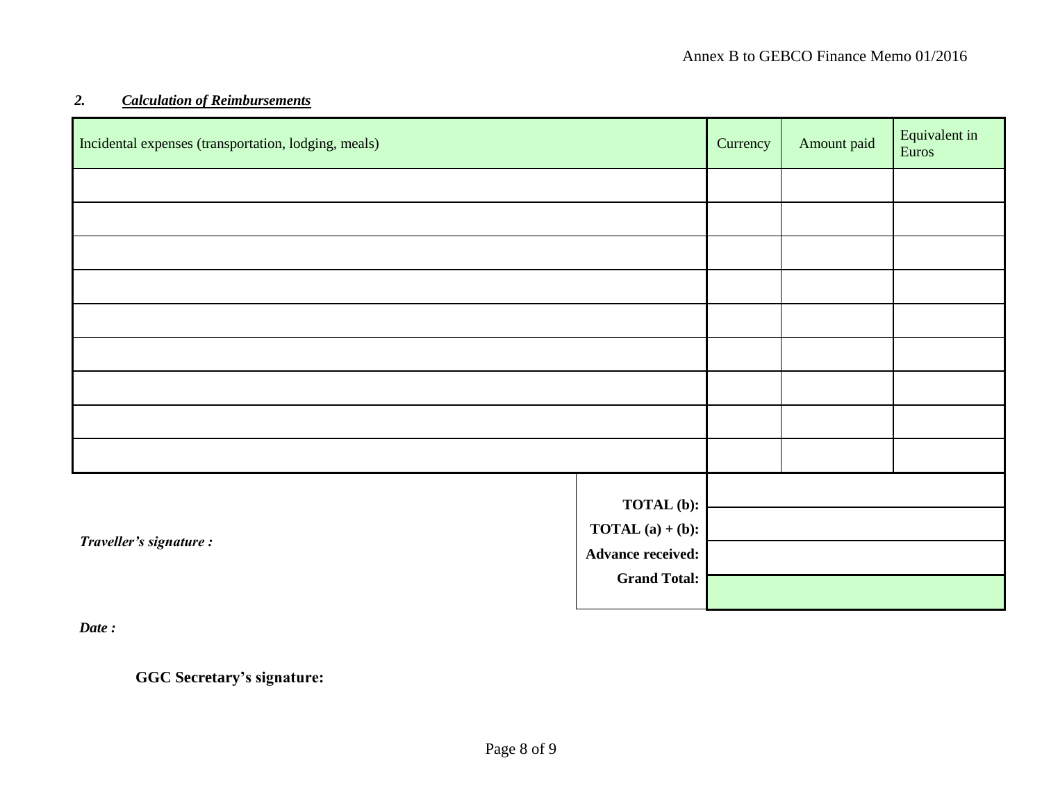## *2. Calculation of Reimbursements*

| Incidental expenses (transportation, lodging, meals) |                          | Currency | Amount paid | Equivalent in<br>Euros |
|------------------------------------------------------|--------------------------|----------|-------------|------------------------|
|                                                      |                          |          |             |                        |
|                                                      |                          |          |             |                        |
|                                                      |                          |          |             |                        |
|                                                      |                          |          |             |                        |
|                                                      |                          |          |             |                        |
|                                                      |                          |          |             |                        |
|                                                      |                          |          |             |                        |
|                                                      |                          |          |             |                        |
|                                                      |                          |          |             |                        |
|                                                      | <b>TOTAL</b> (b):        |          |             |                        |
| Traveller's signature :                              | <b>TOTAL</b> (a) + (b):  |          |             |                        |
|                                                      | <b>Advance received:</b> |          |             |                        |
|                                                      | <b>Grand Total:</b>      |          |             |                        |

*Date :*

**GGC Secretary's signature:**